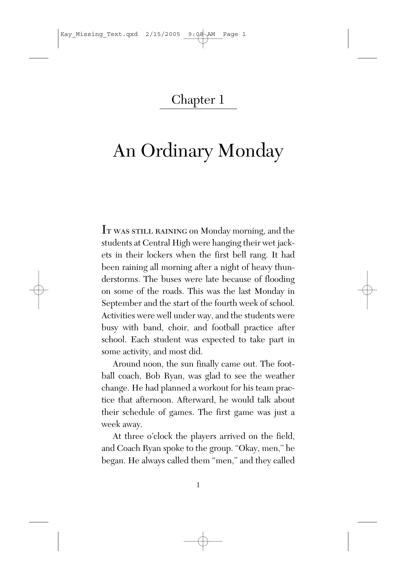## Chapter 1

## An Ordinary Monday

It was still raining on Monday morning, and the students at Central High were hanging their wet jackets in their lockers when the first bell rang. It had been raining all morning after a night of heavy thunderstorms. The buses were late because of flooding on some of the roads. This was the last Monday in September and the start of the fourth week of school. Activities were well under way, and the students were busy with band, choir, and football practice after school. Each student was expected to take part in some activity, and most did.

Around noon, the sun finally came out. The football coach, Bob Ryan, was glad to see the weather change. He had planned a workout for his team practice that afternoon. Afterward, he would talk about their schedule of games. The first game was just a week away.

At three o'clock the players arrived on the field, and Coach Ryan spoke to the group. "Okay, men," he began. He always called them "men," and they called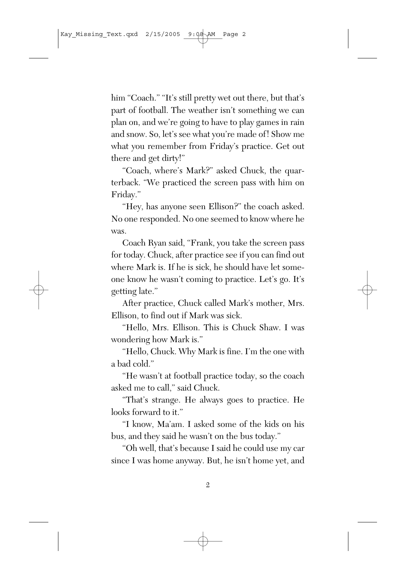him "Coach." "It's still pretty wet out there, but that's part of football. The weather isn't something we can plan on, and we're going to have to play games in rain and snow. So, let's see what you're made of! Show me what you remember from Friday's practice. Get out there and get dirty!"

"Coach, where's Mark?" asked Chuck, the quarterback. "We practiced the screen pass with him on Friday."

"Hey, has anyone seen Ellison?" the coach asked. No one responded. No one seemed to know where he was.

Coach Ryan said, "Frank, you take the screen pass for today. Chuck, after practice see if you can find out where Mark is. If he is sick, he should have let someone know he wasn't coming to practice. Let's go. It's getting late."

After practice, Chuck called Mark's mother, Mrs. Ellison, to find out if Mark was sick.

"Hello, Mrs. Ellison. This is Chuck Shaw. I was wondering how Mark is."

"Hello, Chuck. Why Mark is fine. I'm the one with a bad cold."

"He wasn't at football practice today, so the coach asked me to call," said Chuck.

"That's strange. He always goes to practice. He looks forward to it."

"I know, Ma'am. I asked some of the kids on his bus, and they said he wasn't on the bus today."

"Oh well, that's because I said he could use my car since I was home anyway. But, he isn't home yet, and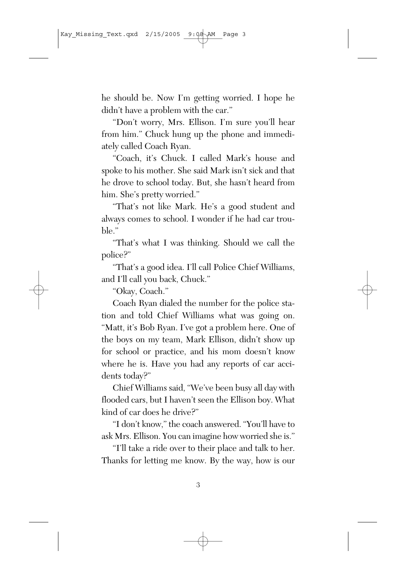he should be. Now I'm getting worried. I hope he didn't have a problem with the car."

"Don't worry, Mrs. Ellison. I'm sure you'll hear from him." Chuck hung up the phone and immediately called Coach Ryan.

"Coach, it's Chuck. I called Mark's house and spoke to his mother. She said Mark isn't sick and that he drove to school today. But, she hasn't heard from him. She's pretty worried."

"That's not like Mark. He's a good student and always comes to school. I wonder if he had car trouble."

"That's what I was thinking. Should we call the police?"

"That's a good idea. I'll call Police Chief Williams, and I'll call you back, Chuck."

"Okay, Coach."

Coach Ryan dialed the number for the police station and told Chief Williams what was going on. "Matt, it's Bob Ryan. I've got a problem here. One of the boys on my team, Mark Ellison, didn't show up for school or practice, and his mom doesn't know where he is. Have you had any reports of car accidents today?"

Chief Williams said, "We've been busy all day with flooded cars, but I haven't seen the Ellison boy. What kind of car does he drive?"

"I don't know," the coach answered. "You'll have to ask Mrs. Ellison. You can imagine how worried she is."

"I'll take a ride over to their place and talk to her. Thanks for letting me know. By the way, how is our